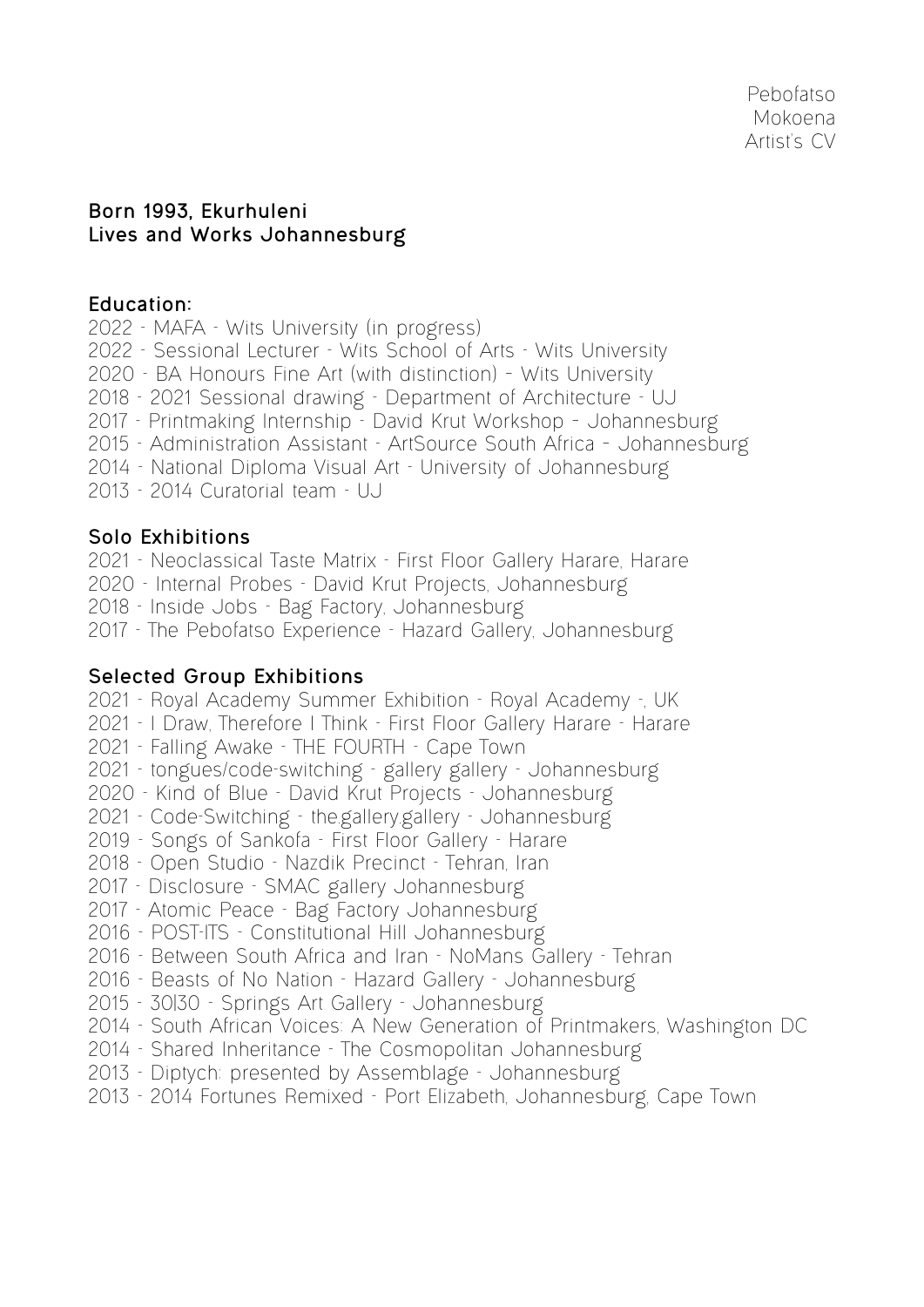### **Born 1993, Ekurhuleni Lives and Works Johannesburg**

#### **Education:**

- 2022 MAFA Wits University (in progress)
- 2022 Sessional Lecturer Wits School of Arts Wits University
- 2020 BA Honours Fine Art (with distinction) Wits University
- 2018 2021 Sessional drawing Department of Architecture UJ
- 2017 Printmaking Internship David Krut Workshop Johannesburg
- 2015 Administration Assistant ArtSource South Africa Johannesburg
- 2014 National Diploma Visual Art University of Johannesburg
- 2013 2014 Curatorial team UJ

# **Solo Exhibitions**

- 2021 Neoclassical Taste Matrix First Floor Gallery Harare, Harare
- 2020 Internal Probes David Krut Projects, Johannesburg
- 2018 Inside Jobs Bag Factory, Johannesburg
- 2017 The Pebofatso Experience Hazard Gallery, Johannesburg

## **Selected Group Exhibitions**

- 2021 Royal Academy Summer Exhibition Royal Academy -, UK
- 2021 I Draw, Therefore I Think First Floor Gallery Harare Harare
- 2021 Falling Awake THE FOURTH Cape Town
- 2021 tongues/code-switching gallery gallery Johannesburg
- 2020 Kind of Blue David Krut Projects Johannesburg
- 2021 Code-Switching the.gallery.gallery Johannesburg
- 2019 Songs of Sankofa First Floor Gallery Harare
- 2018 Open Studio Nazdik Precinct Tehran, Iran
- 2017 Disclosure SMAC gallery Johannesburg
- 2017 Atomic Peace Bag Factory Johannesburg
- 2016 POST-ITS Constitutional Hill Johannesburg
- 2016 Between South Africa and Iran NoMans Gallery Tehran
- 2016 Beasts of No Nation Hazard Gallery Johannesburg
- 2015 30|30 Springs Art Gallery Johannesburg
- 2014 South African Voices: A New Generation of Printmakers, Washington DC
- 2014 Shared Inheritance The Cosmopolitan Johannesburg
- 2013 Diptych: presented by Assemblage Johannesburg
- 2013 2014 Fortunes Remixed Port Elizabeth, Johannesburg, Cape Town